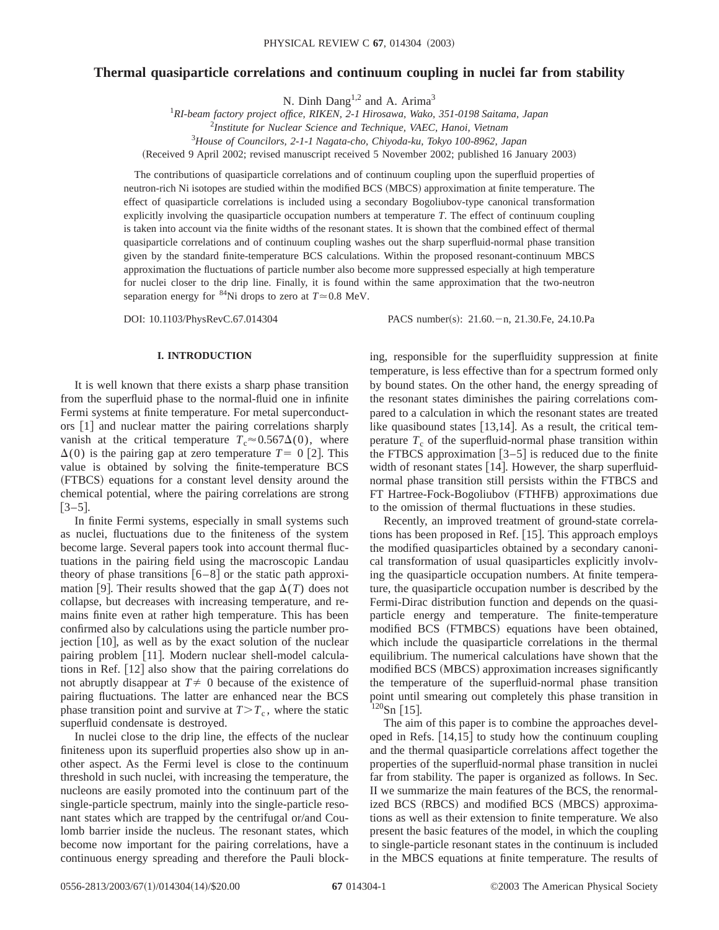# **Thermal quasiparticle correlations and continuum coupling in nuclei far from stability**

N. Dinh Dang<sup>1,2</sup> and A. Arima<sup>3</sup>

1 *RI-beam factory project office, RIKEN, 2-1 Hirosawa, Wako, 351-0198 Saitama, Japan* 2 *Institute for Nuclear Science and Technique, VAEC, Hanoi, Vietnam* 3 *House of Councilors, 2-1-1 Nagata-cho, Chiyoda-ku, Tokyo 100-8962, Japan*

(Received 9 April 2002; revised manuscript received 5 November 2002; published 16 January 2003)

The contributions of quasiparticle correlations and of continuum coupling upon the superfluid properties of neutron-rich Ni isotopes are studied within the modified BCS (MBCS) approximation at finite temperature. The effect of quasiparticle correlations is included using a secondary Bogoliubov-type canonical transformation explicitly involving the quasiparticle occupation numbers at temperature *T*. The effect of continuum coupling is taken into account via the finite widths of the resonant states. It is shown that the combined effect of thermal quasiparticle correlations and of continuum coupling washes out the sharp superfluid-normal phase transition given by the standard finite-temperature BCS calculations. Within the proposed resonant-continuum MBCS approximation the fluctuations of particle number also become more suppressed especially at high temperature for nuclei closer to the drip line. Finally, it is found within the same approximation that the two-neutron separation energy for <sup>84</sup>Ni drops to zero at  $T \approx 0.8$  MeV.

DOI: 10.1103/PhysRevC.67.014304 PACS number(s): 21.60. - n, 21.30.Fe, 24.10.Pa

### **I. INTRODUCTION**

It is well known that there exists a sharp phase transition from the superfluid phase to the normal-fluid one in infinite Fermi systems at finite temperature. For metal superconductors  $[1]$  and nuclear matter the pairing correlations sharply vanish at the critical temperature  $T_c \approx 0.567\Delta(0)$ , where  $\Delta(0)$  is the pairing gap at zero temperature  $T=0$  [2]. This value is obtained by solving the finite-temperature BCS (FTBCS) equations for a constant level density around the chemical potential, where the pairing correlations are strong  $[3-5]$ .

In finite Fermi systems, especially in small systems such as nuclei, fluctuations due to the finiteness of the system become large. Several papers took into account thermal fluctuations in the pairing field using the macroscopic Landau theory of phase transitions  $[6-8]$  or the static path approximation [9]. Their results showed that the gap  $\Delta(T)$  does not collapse, but decreases with increasing temperature, and remains finite even at rather high temperature. This has been confirmed also by calculations using the particle number projection  $[10]$ , as well as by the exact solution of the nuclear pairing problem [11]. Modern nuclear shell-model calculations in Ref.  $[12]$  also show that the pairing correlations do not abruptly disappear at  $T \neq 0$  because of the existence of pairing fluctuations. The latter are enhanced near the BCS phase transition point and survive at  $T>T_c$ , where the static superfluid condensate is destroyed.

In nuclei close to the drip line, the effects of the nuclear finiteness upon its superfluid properties also show up in another aspect. As the Fermi level is close to the continuum threshold in such nuclei, with increasing the temperature, the nucleons are easily promoted into the continuum part of the single-particle spectrum, mainly into the single-particle resonant states which are trapped by the centrifugal or/and Coulomb barrier inside the nucleus. The resonant states, which become now important for the pairing correlations, have a continuous energy spreading and therefore the Pauli blocking, responsible for the superfluidity suppression at finite temperature, is less effective than for a spectrum formed only by bound states. On the other hand, the energy spreading of the resonant states diminishes the pairing correlations compared to a calculation in which the resonant states are treated like quasibound states  $[13,14]$ . As a result, the critical temperature  $T_c$  of the superfluid-normal phase transition within the FTBCS approximation  $[3-5]$  is reduced due to the finite width of resonant states  $[14]$ . However, the sharp superfluidnormal phase transition still persists within the FTBCS and FT Hartree-Fock-Bogoliubov (FTHFB) approximations due to the omission of thermal fluctuations in these studies.

Recently, an improved treatment of ground-state correlations has been proposed in Ref.  $[15]$ . This approach employs the modified quasiparticles obtained by a secondary canonical transformation of usual quasiparticles explicitly involving the quasiparticle occupation numbers. At finite temperature, the quasiparticle occupation number is described by the Fermi-Dirac distribution function and depends on the quasiparticle energy and temperature. The finite-temperature modified BCS (FTMBCS) equations have been obtained, which include the quasiparticle correlations in the thermal equilibrium. The numerical calculations have shown that the modified BCS (MBCS) approximation increases significantly the temperature of the superfluid-normal phase transition point until smearing out completely this phase transition in  $120$ Sn [15].

The aim of this paper is to combine the approaches developed in Refs.  $[14,15]$  to study how the continuum coupling and the thermal quasiparticle correlations affect together the properties of the superfluid-normal phase transition in nuclei far from stability. The paper is organized as follows. In Sec. II we summarize the main features of the BCS, the renormalized BCS (RBCS) and modified BCS (MBCS) approximations as well as their extension to finite temperature. We also present the basic features of the model, in which the coupling to single-particle resonant states in the continuum is included in the MBCS equations at finite temperature. The results of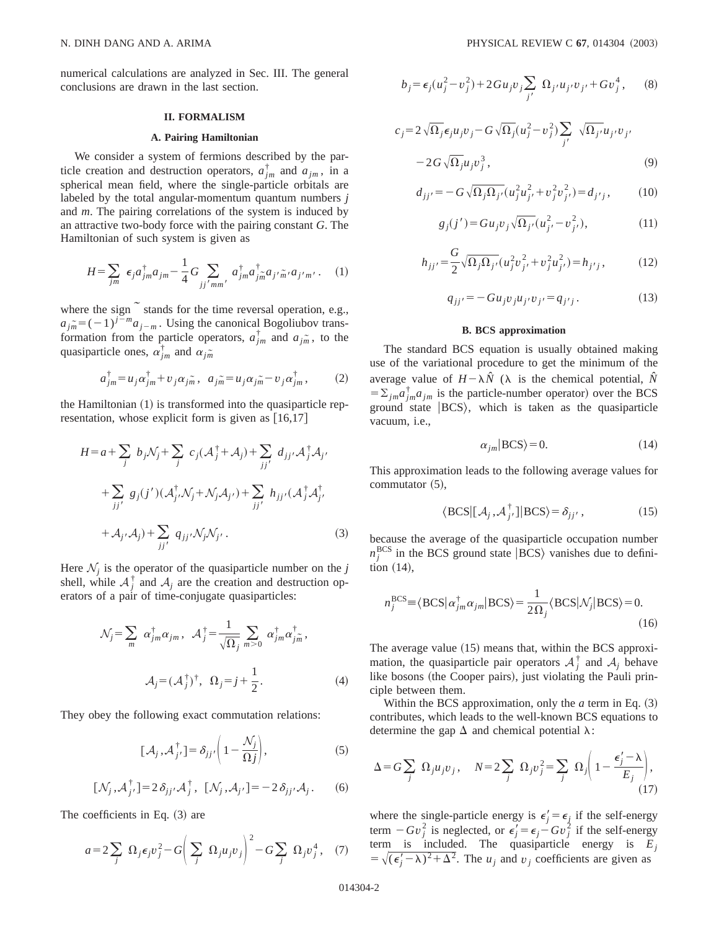numerical calculations are analyzed in Sec. III. The general conclusions are drawn in the last section.

#### **II. FORMALISM**

### **A. Pairing Hamiltonian**

We consider a system of fermions described by the particle creation and destruction operators,  $a_{jm}^{\dagger}$  and  $a_{jm}$ , in a spherical mean field, where the single-particle orbitals are labeled by the total angular-momentum quantum numbers *j* and *m*. The pairing correlations of the system is induced by an attractive two-body force with the pairing constant *G*. The Hamiltonian of such system is given as

$$
H = \sum_{jm} \epsilon_j a_{jm}^{\dagger} a_{jm} - \frac{1}{4} G \sum_{jj'mm'} a_{jm}^{\dagger} a_{jm}^{\dagger} a_{j'm'} a_{j'm'}.
$$
 (1)

where the sign  $\tilde{ }$  stands for the time reversal operation, e.g.,  $a_{\tilde{i}\tilde{m}} = (-1)^{\tilde{j}-m} a_{\tilde{j}-m}$ . Using the canonical Bogoliubov transformation from the particle operators,  $a_{jm}^{\dagger}$  and  $a_{jm}$ , to the quasiparticle ones,  $\alpha_{jm}^{\dagger}$  and  $\alpha_{jm}$ 

$$
a_{jm}^{\dagger} = u_j \alpha_{jm}^{\dagger} + v_j \alpha_{jm}, \ \ a_{jm} = u_j \alpha_{jm} - v_j \alpha_{jm}^{\dagger}, \tag{2}
$$

the Hamiltonian  $(1)$  is transformed into the quasiparticle representation, whose explicit form is given as  $[16,17]$ 

$$
H = a + \sum_{j} b_{j}N_{j} + \sum_{j} c_{j}(\mathcal{A}_{j}^{\dagger} + \mathcal{A}_{j}) + \sum_{jj'} d_{jj'}\mathcal{A}_{j}^{\dagger}\mathcal{A}_{j'}
$$
  
+ 
$$
\sum_{jj'} g_{j}(j')(\mathcal{A}_{j'}^{\dagger}\mathcal{N}_{j} + \mathcal{N}_{j}\mathcal{A}_{j'}) + \sum_{jj'} h_{jj'}(\mathcal{A}_{j}^{\dagger}\mathcal{A}_{j'}^{\dagger})
$$
  
+ 
$$
\mathcal{A}_{j'}\mathcal{A}_{j}) + \sum_{jj'} q_{jj'}\mathcal{N}_{j}\mathcal{N}_{j'}.
$$
 (3)

Here  $\mathcal{N}_i$  is the operator of the quasiparticle number on the *j* shell, while  $A_j^{\dagger}$  and  $A_j$  are the creation and destruction operators of a pair of time-conjugate quasiparticles:

$$
\mathcal{N}_j = \sum_m \alpha_{jm}^\dagger \alpha_{jm}, \quad \mathcal{A}_j^\dagger = \frac{1}{\sqrt{\Omega_j}} \sum_{m>0} \alpha_{jm}^\dagger \alpha_{jm}^\dagger,
$$

$$
\mathcal{A}_j = (\mathcal{A}_j^\dagger)^\dagger, \quad \Omega_j = j + \frac{1}{2}.
$$
 (4)

They obey the following exact commutation relations:

$$
[\mathcal{A}_j, \mathcal{A}_{j'}^\dagger] = \delta_{jj'} \bigg( 1 - \frac{\mathcal{N}_j}{\Omega j} \bigg),\tag{5}
$$

$$
[\mathcal{N}_j, \mathcal{A}_{j'}^\dagger] = 2 \,\delta_{jj'} \mathcal{A}_j^\dagger \,, \,\, [\mathcal{N}_j, \mathcal{A}_{j'}] = -2 \,\delta_{jj'} \mathcal{A}_j \,. \tag{6}
$$

The coefficients in Eq.  $(3)$  are

$$
a = 2\sum_{j} \Omega_{j} \epsilon_{j} v_{j}^{2} - G \left( \sum_{j} \Omega_{j} u_{j} v_{j} \right)^{2} - G \sum_{j} \Omega_{j} v_{j}^{4}, \quad (7)
$$

$$
b_j = \epsilon_j (u_j^2 - v_j^2) + 2Gu_j v_j \sum_{j'} \Omega_{j'} u_{j'} v_{j'} + G v_j^4, \quad (8)
$$

$$
c_j = 2\sqrt{\Omega_j} \epsilon_j u_j v_j - G \sqrt{\Omega_j} (u_j^2 - v_j^2) \sum_{j'} \sqrt{\Omega_{j'}} u_{j'} v_{j'} - 2G \sqrt{\Omega_j} u_j v_j^3,
$$
 (9)

$$
d_{jj'} = -G\sqrt{\Omega_j \Omega_{j'}} (u_j^2 u_{j'}^2 + v_j^2 v_{j'}^2) = d_{j'j}, \qquad (10)
$$

$$
g_j(j') = Gu_j v_j \sqrt{\Omega_{j'}} (u_{j'}^2 - v_{j'}^2), \qquad (11)
$$

$$
h_{jj'} = \frac{G}{2} \sqrt{\Omega_j \Omega_{j'}} (u_j^2 v_{j'}^2 + v_j^2 u_{j'}^2) = h_{j'j},
$$
 (12)

$$
q_{jj'} = -Gu_j v_j u_{j'} v_{j'} = q_{j'j}.
$$
 (13)

### **B. BCS approximation**

The standard BCS equation is usually obtained making use of the variational procedure to get the minimum of the average value of  $H - \lambda \hat{N}$  ( $\lambda$  is the chemical potential,  $\hat{N}$  $=\sum_{jm}a_{jm}^{\dagger}a_{jm}$  is the particle-number operator) over the BCS ground state  $|BCS\rangle$ , which is taken as the quasiparticle vacuum, i.e.,

$$
\alpha_{jm}|\text{BCS}\rangle = 0.\tag{14}
$$

This approximation leads to the following average values for commutator  $(5)$ ,

$$
\langle \text{BCS} | [\mathcal{A}_j, \mathcal{A}_{j'}^{\dagger}] | \text{BCS} \rangle = \delta_{jj'}, \qquad (15)
$$

because the average of the quasiparticle occupation number  $n_j^{\text{BCS}}$  in the BCS ground state  $|BCS\rangle$  vanishes due to definition  $(14)$ ,

$$
n_j^{\text{BCS}} \equiv \langle \text{BCS} | \alpha_{jm}^{\dagger} \alpha_{jm} | \text{BCS} \rangle = \frac{1}{2\Omega_j} \langle \text{BCS} | \mathcal{N}_j | \text{BCS} \rangle = 0. \tag{16}
$$

The average value  $(15)$  means that, within the BCS approximation, the quasiparticle pair operators  $A_j^{\dagger}$  and  $A_j$  behave like bosons (the Cooper pairs), just violating the Pauli principle between them.

Within the BCS approximation, only the  $a$  term in Eq.  $(3)$ contributes, which leads to the well-known BCS equations to determine the gap  $\Delta$  and chemical potential  $\lambda$ :

$$
\Delta = G \sum_{j} \Omega_{j} u_{j} v_{j}, \quad N = 2 \sum_{j} \Omega_{j} v_{j}^{2} = \sum_{j} \Omega_{j} \left( 1 - \frac{\epsilon_{j}^{\prime} - \lambda}{E_{j}} \right), \tag{17}
$$

where the single-particle energy is  $\epsilon'_j = \epsilon_j$  if the self-energy term  $-Gv_j^2$  is neglected, or  $\epsilon_j' = \epsilon_j - Gv_j^2$  if the self-energy term is included. The quasiparticle energy is *Ej*  $=\sqrt{(\epsilon_j'-\lambda)^2+\Delta^2}$ . The *u<sub>j</sub>* and *v<sub>j</sub>* coefficients are given as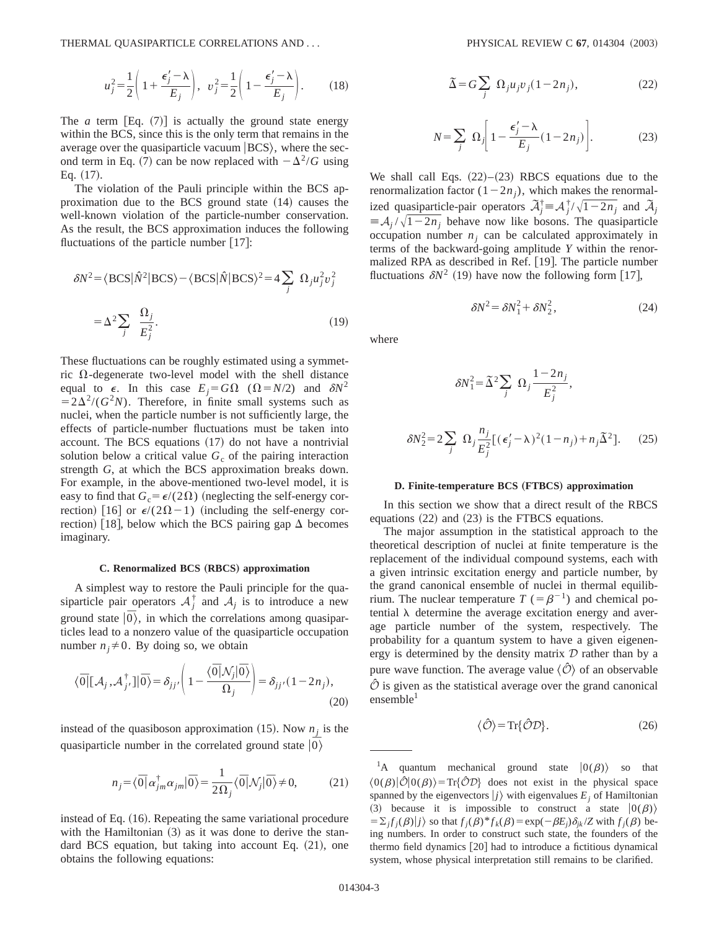THERMAL QUASIPARTICLE CORRELATIONS AND . . . PHYSICAL REVIEW C **67**, 014304 ~2003!

$$
u_j^2 = \frac{1}{2} \left( 1 + \frac{\epsilon_j' - \lambda}{E_j} \right), \quad v_j^2 = \frac{1}{2} \left( 1 - \frac{\epsilon_j' - \lambda}{E_j} \right). \tag{18}
$$

The *a* term  $Eq. (7)$  is actually the ground state energy within the BCS, since this is the only term that remains in the average over the quasiparticle vacuum  $|BCS\rangle$ , where the second term in Eq. (7) can be now replaced with  $-\Delta^2/G$  using Eq.  $(17)$ .

The violation of the Pauli principle within the BCS approximation due to the BCS ground state  $(14)$  causes the well-known violation of the particle-number conservation. As the result, the BCS approximation induces the following fluctuations of the particle number  $\lfloor 17 \rfloor$ :

$$
\delta N^2 = \langle \text{BCS} | \hat{N}^2 | \text{BCS} \rangle - \langle \text{BCS} | \hat{N} | \text{BCS} \rangle^2 = 4 \sum_j \Omega_j u_j^2 v_j^2
$$
  
=  $\Delta^2 \sum_j \frac{\Omega_j}{E_j^2}$ . (19)

These fluctuations can be roughly estimated using a symmetric  $\Omega$ -degenerate two-level model with the shell distance equal to  $\epsilon$ . In this case  $E_i = G\Omega$  ( $\Omega = N/2$ ) and  $\delta N^2$  $=2\Delta^2/(G^2N)$ . Therefore, in finite small systems such as nuclei, when the particle number is not sufficiently large, the effects of particle-number fluctuations must be taken into account. The BCS equations  $(17)$  do not have a nontrivial solution below a critical value  $G_c$  of the pairing interaction strength *G*, at which the BCS approximation breaks down. For example, in the above-mentioned two-level model, it is easy to find that  $G_c = \epsilon/(2\Omega)$  (neglecting the self-energy correction) [16] or  $\epsilon/(2\Omega-1)$  (including the self-energy correction) [18], below which the BCS pairing gap  $\Delta$  becomes imaginary.

#### $C.$  Renormalized BCS (RBCS) approximation

A simplest way to restore the Pauli principle for the quasiparticle pair operators  $A_j^{\dagger}$  and  $A_j$  is to introduce a new ground state  $|\overline{0}\rangle$ , in which the correlations among quasiparticles lead to a nonzero value of the quasiparticle occupation number  $n_j \neq 0$ . By doing so, we obtain

$$
\langle \overline{0} | [\mathcal{A}_j, \mathcal{A}_{j'}^{\dagger}] | \overline{0} \rangle = \delta_{jj'} \left( 1 - \frac{\langle \overline{0} | \mathcal{N}_j | \overline{0} \rangle}{\Omega_j} \right) = \delta_{jj'} (1 - 2n_j), \tag{20}
$$

instead of the quasiboson approximation  $(15)$ . Now  $n_i$  is the quasiparticle number in the correlated ground state  $|\overrightarrow{0}\rangle$ 

$$
n_j = \langle \overline{0} | \alpha_{jm}^{\dagger} \alpha_{jm} | \overline{0} \rangle = \frac{1}{2\Omega_j} \langle \overline{0} | \mathcal{N}_j | \overline{0} \rangle \neq 0, \tag{21}
$$

instead of Eq.  $(16)$ . Repeating the same variational procedure with the Hamiltonian  $(3)$  as it was done to derive the standard BCS equation, but taking into account Eq.  $(21)$ , one obtains the following equations:

$$
\tilde{\Delta} = G \sum_{j} \Omega_{j} u_{j} v_{j} (1 - 2n_{j}), \qquad (22)
$$

$$
N = \sum_{j} \Omega_{j} \left[ 1 - \frac{\epsilon'_{j} - \lambda}{E_{j}} (1 - 2n_{j}) \right].
$$
 (23)

We shall call Eqs.  $(22)$ – $(23)$  RBCS equations due to the renormalization factor  $(1-2n_j)$ , which makes the renormalized quasiparticle-pair operators  $\vec{A}_j^{\dagger} \equiv \vec{A}_j^{\dagger}/\sqrt{1-2n_j}$  and  $\vec{A}_j$  $\equiv A_i / \sqrt{1 - 2n_i}$  behave now like bosons. The quasiparticle occupation number  $n_j$  can be calculated approximately in terms of the backward-going amplitude *Y* within the renormalized RPA as described in Ref. [19]. The particle number fluctuations  $\delta N^2$  (19) have now the following form [17],

$$
\delta N^2 = \delta N_1^2 + \delta N_2^2, \qquad (24)
$$

where

$$
\delta N_1^2 = \tilde{\Delta}^2 \sum_j \Omega_j \frac{1 - 2n_j}{E_j^2},
$$
  

$$
\delta N_2^2 = 2 \sum_j \Omega_j \frac{n_j}{E_j^2} [(\epsilon_j' - \lambda)^2 (1 - n_j) + n_j \tilde{\Delta}^2].
$$
 (25)

#### **D. Finite-temperature BCS (FTBCS) approximation**

In this section we show that a direct result of the RBCS equations  $(22)$  and  $(23)$  is the FTBCS equations.

The major assumption in the statistical approach to the theoretical description of nuclei at finite temperature is the replacement of the individual compound systems, each with a given intrinsic excitation energy and particle number, by the grand canonical ensemble of nuclei in thermal equilibrium. The nuclear temperature  $T = \beta^{-1}$ ) and chemical potential  $\lambda$  determine the average excitation energy and average particle number of the system, respectively. The probability for a quantum system to have a given eigenenergy is determined by the density matrix  $D$  rather than by a pure wave function. The average value  $\langle \hat{O} \rangle$  of an observable  $\hat{\mathcal{O}}$  is given as the statistical average over the grand canonical  $ensemble<sup>1</sup>$ 

$$
\langle \hat{\mathcal{O}} \rangle = \text{Tr} \{ \hat{\mathcal{O}} \mathcal{D} \}. \tag{26}
$$

<sup>1</sup>A quantum mechanical ground state  $|0(\beta)\rangle$  so that  $\langle 0(\beta)|\hat{O}|0(\beta)\rangle = \text{Tr}\{\hat{O}\mathcal{D}\}\$  does not exist in the physical space spanned by the eigenvectors  $|j\rangle$  with eigenvalues  $E_j$  of Hamiltonian (3) because it is impossible to construct a state  $|0(\beta)\rangle$  $= \sum_j f_j(\beta)|j\rangle$  so that  $f_j(\beta)^* f_k(\beta) = \exp(-\beta E_j) \delta_{jk}/Z$  with  $f_j(\beta)$  being numbers. In order to construct such state, the founders of the thermo field dynamics [20] had to introduce a fictitious dynamical system, whose physical interpretation still remains to be clarified.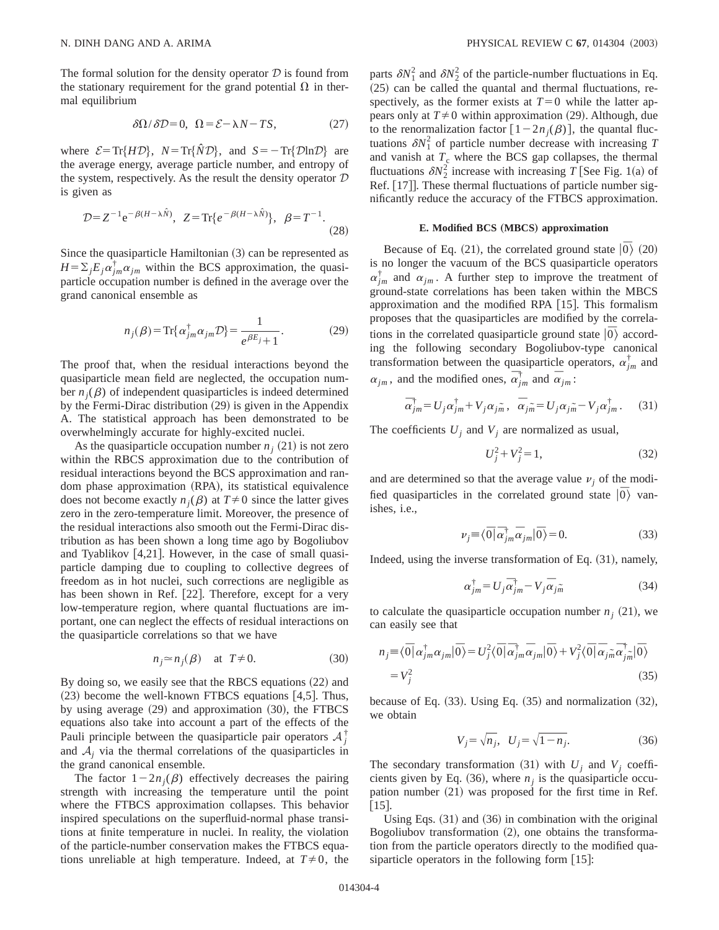The formal solution for the density operator  $D$  is found from the stationary requirement for the grand potential  $\Omega$  in thermal equilibrium

$$
\delta\Omega/\delta\mathcal{D} = 0, \ \Omega = \mathcal{E} - \lambda N - TS,\tag{27}
$$

where  $\mathcal{E} = \text{Tr}\{H\mathcal{D}\},\ \ N = \text{Tr}\{\hat{N}\mathcal{D}\},\ \text{and}\ \ S = -\text{Tr}\{\mathcal{D}\ln\mathcal{D}\}\$  are the average energy, average particle number, and entropy of the system, respectively. As the result the density operator  $D$ is given as

$$
\mathcal{D} = Z^{-1} e^{-\beta (H - \lambda \hat{N})}, \ \ Z = \text{Tr}\{e^{-\beta (H - \lambda \hat{N})}\}, \ \ \beta = T^{-1}.
$$
\n(28)

Since the quasiparticle Hamiltonian  $(3)$  can be represented as  $H = \sum_j E_j \alpha_{jm}^{\dagger} \alpha_{jm}$  within the BCS approximation, the quasiparticle occupation number is defined in the average over the grand canonical ensemble as

$$
n_j(\beta) = \text{Tr}\{\alpha_{jm}^{\dagger}\alpha_{jm}\mathcal{D}\} = \frac{1}{e^{\beta E_j} + 1}.
$$
 (29)

The proof that, when the residual interactions beyond the quasiparticle mean field are neglected, the occupation number  $n_i(\beta)$  of independent quasiparticles is indeed determined by the Fermi-Dirac distribution  $(29)$  is given in the Appendix A. The statistical approach has been demonstrated to be overwhelmingly accurate for highly-excited nuclei.

As the quasiparticle occupation number  $n_i$  (21) is not zero within the RBCS approximation due to the contribution of residual interactions beyond the BCS approximation and random phase approximation (RPA), its statistical equivalence does not become exactly  $n_i(\beta)$  at  $T\neq 0$  since the latter gives zero in the zero-temperature limit. Moreover, the presence of the residual interactions also smooth out the Fermi-Dirac distribution as has been shown a long time ago by Bogoliubov and Tyablikov  $[4,21]$ . However, in the case of small quasiparticle damping due to coupling to collective degrees of freedom as in hot nuclei, such corrections are negligible as has been shown in Ref. [22]. Therefore, except for a very low-temperature region, where quantal fluctuations are important, one can neglect the effects of residual interactions on the quasiparticle correlations so that we have

$$
n_j \approx n_j(\beta) \quad \text{at } T \neq 0. \tag{30}
$$

By doing so, we easily see that the RBCS equations  $(22)$  and  $(23)$  become the well-known FTBCS equations [4,5]. Thus, by using average  $(29)$  and approximation  $(30)$ , the FTBCS equations also take into account a part of the effects of the Pauli principle between the quasiparticle pair operators  $A_j^{\dagger}$ and  $A_i$  via the thermal correlations of the quasiparticles in the grand canonical ensemble.

The factor  $1-2n<sub>j</sub>(\beta)$  effectively decreases the pairing strength with increasing the temperature until the point where the FTBCS approximation collapses. This behavior inspired speculations on the superfluid-normal phase transitions at finite temperature in nuclei. In reality, the violation of the particle-number conservation makes the FTBCS equations unreliable at high temperature. Indeed, at  $T \neq 0$ , the

parts  $\delta N_1^2$  and  $\delta N_2^2$  of the particle-number fluctuations in Eq.  $(25)$  can be called the quantal and thermal fluctuations, respectively, as the former exists at  $T=0$  while the latter appears only at  $T \neq 0$  within approximation (29). Although, due to the renormalization factor  $[1-2n_j(\beta)]$ , the quantal fluctuations  $\delta N_1^2$  of particle number decrease with increasing *T* and vanish at  $T_c$  where the BCS gap collapses, the thermal fluctuations  $\delta N_2^2$  increase with increasing *T* [See Fig. 1(a) of Ref. [17]. These thermal fluctuations of particle number significantly reduce the accuracy of the FTBCS approximation.

#### $E.$  Modified BCS (MBCS) approximation

Because of Eq. (21), the correlated ground state  $|\bar{0}\rangle$  (20) is no longer the vacuum of the BCS quasiparticle operators  $\alpha_{jm}^{\dagger}$  and  $\alpha_{jm}$ . A further step to improve the treatment of ground-state correlations has been taken within the MBCS approximation and the modified RPA  $[15]$ . This formalism proposes that the quasiparticles are modified by the correlations in the correlated quasiparticle ground state  $|\overline{0}\rangle$  according the following secondary Bogoliubov-type canonical transformation between the quasiparticle operators,  $\alpha_{jm}^{\dagger}$  and  $\alpha_{jm}$ , and the modified ones,  $\overline{\alpha}_{jm}^{\dagger}$  and  $\overline{\alpha}_{jm}$ :

$$
\overline{\alpha}_{jm}^{\dagger} = U_j \alpha_{jm}^{\dagger} + V_j \alpha_{jm}^{\dagger}, \quad \overline{\alpha}_{jm} = U_j \alpha_{jm}^{\dagger} - V_j \alpha_{jm}^{\dagger}. \tag{31}
$$

The coefficients  $U_j$  and  $V_j$  are normalized as usual,

$$
U_j^2 + V_j^2 = 1,\t\t(32)
$$

and are determined so that the average value  $\nu_i$  of the modified quasiparticles in the correlated ground state  $|\bar{0}\rangle$  vanishes, i.e.,

$$
\nu_j \equiv \langle \overline{0} | \overline{\alpha}_{jm}^{\dagger} \overline{\alpha}_{jm} | \overline{0} \rangle = 0. \tag{33}
$$

Indeed, using the inverse transformation of Eq.  $(31)$ , namely,

$$
\alpha_{jm}^{\dagger} = U_j \overline{\alpha}_{jm}^{\dagger} - V_j \overline{\alpha}_{jm} \tag{34}
$$

to calculate the quasiparticle occupation number  $n_i$  (21), we can easily see that

$$
n_j \equiv \langle \overline{0} | \alpha_{jm}^{\dagger} \alpha_{jm} | \overline{0} \rangle = U_j^2 \langle \overline{0} | \overline{\alpha}_{jm}^{\dagger} \overline{\alpha}_{jm} | \overline{0} \rangle + V_j^2 \langle \overline{0} | \overline{\alpha}_{jm}^{\dagger} \overline{\alpha}_{jm}^{\dagger} | \overline{0} \rangle
$$
  
=  $V_j^2$  (35)

because of Eq.  $(33)$ . Using Eq.  $(35)$  and normalization  $(32)$ , we obtain

$$
V_j = \sqrt{n_j}, \ \ U_j = \sqrt{1 - n_j}.\tag{36}
$$

The secondary transformation (31) with  $U_i$  and  $V_j$  coefficients given by Eq.  $(36)$ , where  $n<sub>i</sub>$  is the quasiparticle occupation number  $(21)$  was proposed for the first time in Ref.  $[15]$ .

Using Eqs.  $(31)$  and  $(36)$  in combination with the original Bogoliubov transformation  $(2)$ , one obtains the transformation from the particle operators directly to the modified quasiparticle operators in the following form  $[15]$ :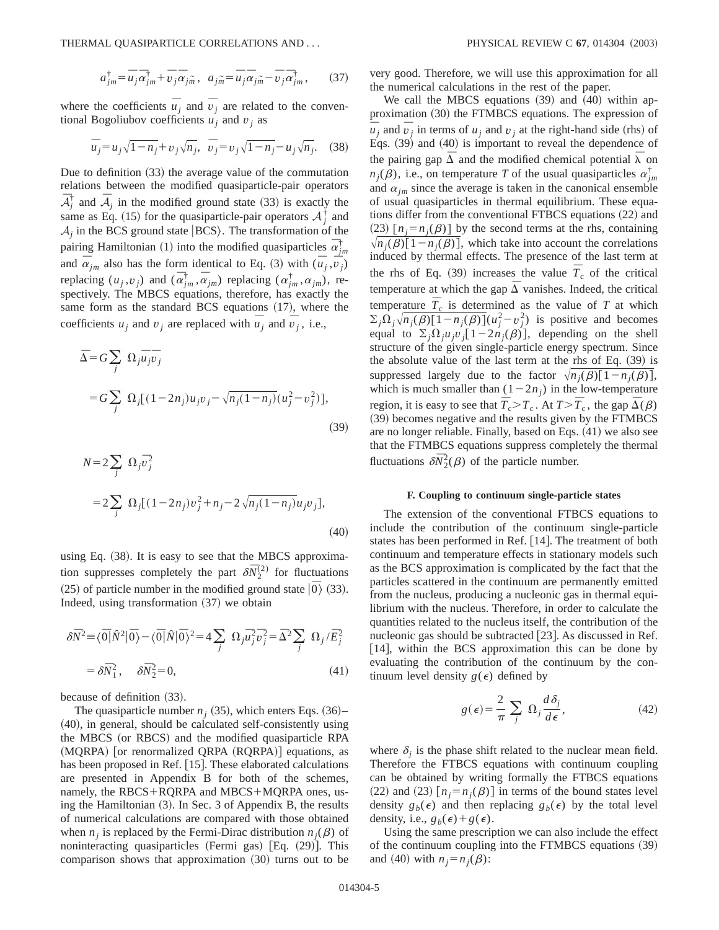$$
a_{jm}^{\dagger} = \overline{u}_j \overline{\alpha}_{jm}^{\dagger} + \overline{v}_j \overline{\alpha}_{jm}, \ \ a_{jm} = \overline{u}_j \overline{\alpha}_{jm} - \overline{v}_j \overline{\alpha}_{jm}^{\dagger}, \tag{37}
$$

where the coefficients  $\overline{u}_j$  and  $\overline{v}_j$  are related to the conventional Bogoliubov coefficients  $u_j$  and  $v_j$  as

$$
\bar{u}_j = u_j \sqrt{1 - n_j} + v_j \sqrt{n_j}, \ \bar{v}_j = v_j \sqrt{1 - n_j} - u_j \sqrt{n_j}.
$$
 (38)

Due to definition  $(33)$  the average value of the commutation relations between the modified quasiparticle-pair operators  $\overline{A}_j^{\dagger}$  and  $\overline{A}_j$  in the modified ground state (33) is exactly the same as Eq. (15) for the quasiparticle-pair operators  $A_j^{\dagger}$  and  $A_i$  in the BCS ground state  $|BCS\rangle$ . The transformation of the pairing Hamiltonian (1) into the modified quasiparticles  $\vec{\alpha}^{\dagger}_{jm}$ and  $\bar{\alpha}_{jm}$  also has the form identical to Eq. (3) with  $(\bar{u}_j, \bar{v}_j)$ replacing  $(u_j, v_j)$  and  $(\overline{\alpha}_{jm}^{\dagger}, \overline{\alpha}_{jm})$  replacing  $(\alpha_{jm}^{\dagger}, \alpha_{jm})$ , respectively. The MBCS equations, therefore, has exactly the same form as the standard BCS equations  $(17)$ , where the coefficients  $u_j$  and  $v_j$  are replaced with  $\overline{u}_j$  and  $\overline{v}_j$ , i.e.,

$$
\bar{\Delta} = G \sum_{j} \Omega_{j} \bar{u}_{j} \bar{v}_{j}
$$
  
=  $G \sum_{j} \Omega_{j} [(1 - 2n_{j}) u_{j} v_{j} - \sqrt{n_{j} (1 - n_{j})} (u_{j}^{2} - v_{j}^{2})],$  (39)

$$
N = 2 \sum_{j} \Omega_{j} \overline{v}_{j}^{2}
$$
  
= 2 \sum\_{j} \Omega\_{j} [(1 - 2n\_{j})v\_{j}^{2} + n\_{j} - 2\sqrt{n\_{j}(1 - n\_{j})}u\_{j}v\_{j}], (40)

using Eq.  $(38)$ . It is easy to see that the MBCS approximation suppresses completely the part  $\delta \bar{N}_2^{(2)}$  for fluctuations (25) of particle number in the modified ground state  $|\overline{0}\rangle$  (33). Indeed, using transformation  $(37)$  we obtain

$$
\delta \bar{N}^2 \equiv \langle \bar{0} | \hat{N}^2 | \bar{0} \rangle - \langle \bar{0} | \hat{N} | \bar{0} \rangle^2 = 4 \sum_j \Omega_j \bar{u}_j^2 \bar{v}_j^2 = \bar{\Delta}^2 \sum_j \Omega_j / \bar{E}_j^2
$$
  
=  $\delta \bar{N}_1^2$ ,  $\delta \bar{N}_2^2 = 0$ , (41)

because of definition  $(33)$ .

The quasiparticle number  $n_j$  (35), which enters Eqs. (36)–  $(40)$ , in general, should be calculated self-consistently using the MBCS (or RBCS) and the modified quasiparticle RPA  $(MQRPA)$  [or renormalized QRPA  $(RQRPA)$ ] equations, as has been proposed in Ref.  $[15]$ . These elaborated calculations are presented in Appendix B for both of the schemes, namely, the RBCS+RQRPA and MBCS+MQRPA ones, using the Hamiltonian  $(3)$ . In Sec. 3 of Appendix B, the results of numerical calculations are compared with those obtained when  $n_i$  is replaced by the Fermi-Dirac distribution  $n_i(\beta)$  of noninteracting quasiparticles (Fermi gas)  $[Eq. (29)]$ . This comparison shows that approximation  $(30)$  turns out to be very good. Therefore, we will use this approximation for all the numerical calculations in the rest of the paper.

We call the MBCS equations  $(39)$  and  $(40)$  within approximation  $(30)$  the FTMBCS equations. The expression of  $\overline{u}_j$  and  $\overline{v}_j$  in terms of *u<sub>j</sub>* and *v<sub>j</sub>* at the right-hand side (rhs) of Eqs.  $(39)$  and  $(40)$  is important to reveal the dependence of the pairing gap  $\overline{\Delta}$  and the modified chemical potential  $\overline{\lambda}$  on  $n_j(\beta)$ , i.e., on temperature *T* of the usual quasiparticles  $\alpha_{jm}^{\dagger}$ and  $\alpha_{im}$  since the average is taken in the canonical ensemble of usual quasiparticles in thermal equilibrium. These equations differ from the conventional FTBCS equations (22) and  $(23)$  [ $n_j = n_j(\beta)$ ] by the second terms at the rhs, containing  $\sqrt{n_i(\beta)}[1-n_i(\beta)]$ , which take into account the correlations induced by thermal effects. The presence of the last term at the rhs of Eq. (39) increases the value  $\overline{T}_c$  of the critical temperature at which the gap  $\overline{\Delta}$  vanishes. Indeed, the critical temperature  $\overline{T}_c$  is determined as the value of  $T$  at which  $\sum_{j} \Omega_j \sqrt{n_j(\beta) \left[1 - n_j(\beta)\right]} (u_j^2 - v_j^2)$  is positive and becomes equal to  $\sum_{i} \Omega_{i}u_{i}v_{i}$ [1-2*n<sub>j</sub>*( $\beta$ )], depending on the shell structure of the given single-particle energy spectrum. Since the absolute value of the last term at the rhs of Eq.  $(39)$  is suppressed largely due to the factor  $\sqrt{n_j(\beta)}[1-n_j(\beta)],$ which is much smaller than  $(1-2n_j)$  in the low-temperature region, it is easy to see that  $\overline{T}_{c} > T_{c}$ . At  $T > \overline{T}_{c}$ , the gap  $\overline{\Delta}(\beta)$ (39) becomes negative and the results given by the FTMBCS are no longer reliable. Finally, based on Eqs.  $(41)$  we also see that the FTMBCS equations suppress completely the thermal fluctuations  $\delta \bar{N}_2^2(\beta)$  of the particle number.

### **F. Coupling to continuum single-particle states**

The extension of the conventional FTBCS equations to include the contribution of the continuum single-particle states has been performed in Ref. [14]. The treatment of both continuum and temperature effects in stationary models such as the BCS approximation is complicated by the fact that the particles scattered in the continuum are permanently emitted from the nucleus, producing a nucleonic gas in thermal equilibrium with the nucleus. Therefore, in order to calculate the quantities related to the nucleus itself, the contribution of the nucleonic gas should be subtracted  $[23]$ . As discussed in Ref.  $[14]$ , within the BCS approximation this can be done by evaluating the contribution of the continuum by the continuum level density  $g(\epsilon)$  defined by

$$
g(\epsilon) = \frac{2}{\pi} \sum_{j} \Omega_{j} \frac{d\delta_{j}}{d\epsilon},
$$
 (42)

where  $\delta_i$  is the phase shift related to the nuclear mean field. Therefore the FTBCS equations with continuum coupling can be obtained by writing formally the FTBCS equations  $(22)$  and  $(23)$   $[n_j=n_j(\beta)]$  in terms of the bound states level density  $g_b(\epsilon)$  and then replacing  $g_b(\epsilon)$  by the total level density, i.e.,  $g_b(\epsilon) + g(\epsilon)$ .

Using the same prescription we can also include the effect of the continuum coupling into the FTMBCS equations  $(39)$ and (40) with  $n_j = n_j(\beta)$ :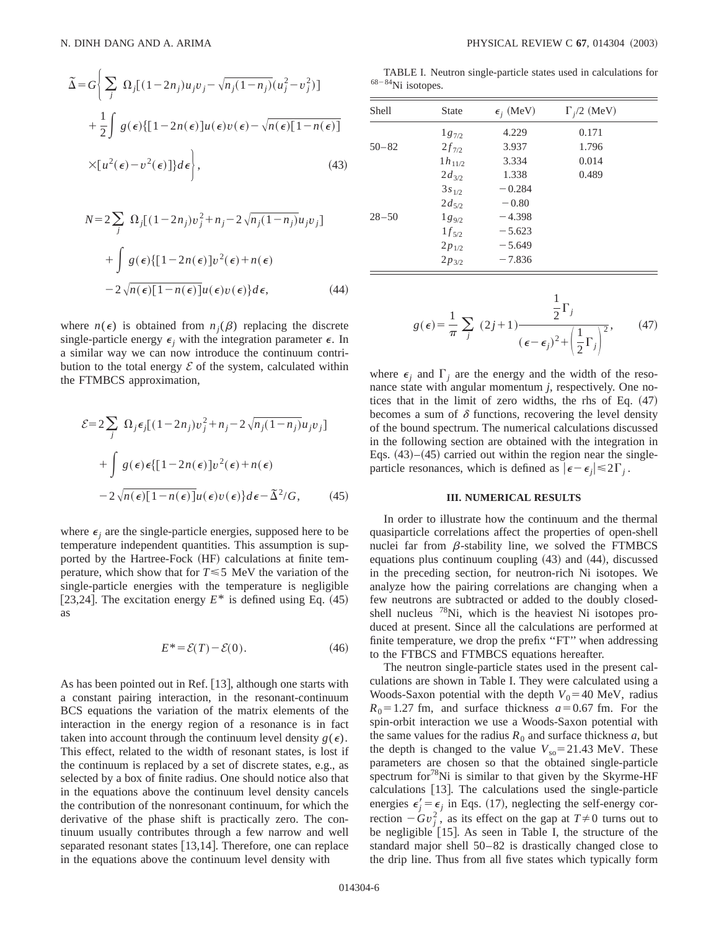$$
\tilde{\Delta} = G \Bigg\{ \sum_{j} \Omega_{j} [(1 - 2n_{j})u_{j}v_{j} - \sqrt{n_{j}(1 - n_{j})}(u_{j}^{2} - v_{j}^{2})] + \frac{1}{2} \int g(\epsilon) \{ [1 - 2n(\epsilon)]u(\epsilon)v(\epsilon) - \sqrt{n(\epsilon)[1 - n(\epsilon)]} \times [u^{2}(\epsilon) - v^{2}(\epsilon)]\} d\epsilon \Bigg\},
$$
\n(43)

$$
N = 2 \sum_{j} \Omega_{j} [(1 - 2n_{j})v_{j}^{2} + n_{j} - 2\sqrt{n_{j}(1 - n_{j})}u_{j}v_{j}]
$$
  
+ 
$$
\int g(\epsilon) \{ [1 - 2n(\epsilon)]v^{2}(\epsilon) + n(\epsilon)
$$
  
- 
$$
2\sqrt{n(\epsilon)}[1 - n(\epsilon)]u(\epsilon)v(\epsilon) \}d\epsilon,
$$
 (44)

where  $n(\epsilon)$  is obtained from  $n_i(\beta)$  replacing the discrete single-particle energy  $\epsilon_i$  with the integration parameter  $\epsilon$ . In a similar way we can now introduce the continuum contribution to the total energy  $\mathcal E$  of the system, calculated within the FTMBCS approximation,

$$
\mathcal{E} = 2 \sum_{j} \Omega_{j} \epsilon_{j} [(1 - 2n_{j})v_{j}^{2} + n_{j} - 2\sqrt{n_{j}(1 - n_{j})}u_{j}v_{j}]
$$
  
+ 
$$
\int g(\epsilon) \epsilon \{ [1 - 2n(\epsilon)]v^{2}(\epsilon) + n(\epsilon)
$$
  
- 
$$
2\sqrt{n(\epsilon)}[1 - n(\epsilon)]u(\epsilon)v(\epsilon)\}d\epsilon - \tilde{\Delta}^{2}/G,
$$
 (45)

where  $\epsilon_i$  are the single-particle energies, supposed here to be temperature independent quantities. This assumption is supported by the Hartree-Fock (HF) calculations at finite temperature, which show that for  $T \le 5$  MeV the variation of the single-particle energies with the temperature is negligible [23,24]. The excitation energy  $E^*$  is defined using Eq.  $(45)$ as

$$
E^* = \mathcal{E}(T) - \mathcal{E}(0). \tag{46}
$$

As has been pointed out in Ref.  $[13]$ , although one starts with a constant pairing interaction, in the resonant-continuum BCS equations the variation of the matrix elements of the interaction in the energy region of a resonance is in fact taken into account through the continuum level density  $g(\epsilon)$ . This effect, related to the width of resonant states, is lost if the continuum is replaced by a set of discrete states, e.g., as selected by a box of finite radius. One should notice also that in the equations above the continuum level density cancels the contribution of the nonresonant continuum, for which the derivative of the phase shift is practically zero. The continuum usually contributes through a few narrow and well separated resonant states  $[13,14]$ . Therefore, one can replace in the equations above the continuum level density with

TABLE I. Neutron single-particle states used in calculations for  $68-84$ Ni isotopes.

| <b>Shell</b> | <b>State</b> | $\epsilon_i$ (MeV) | $\Gamma_i/2$ (MeV) |  |
|--------------|--------------|--------------------|--------------------|--|
|              | $1g_{7/2}$   | 4.229              | 0.171              |  |
| $50 - 82$    | $2f_{7/2}$   | 3.937              | 1.796              |  |
|              | $1h_{11/2}$  | 3.334              | 0.014              |  |
|              | $2d_{3/2}$   | 1.338              | 0.489              |  |
|              | $3s_{1/2}$   | $-0.284$           |                    |  |
|              | $2d_{5/2}$   | $-0.80$            |                    |  |
| $28 - 50$    | $1g_{9/2}$   | $-4.398$           |                    |  |
|              | $1f_{5/2}$   | $-5.623$           |                    |  |
|              | $2p_{1/2}$   | $-5.649$           |                    |  |
|              | $2p_{3/2}$   | $-7.836$           |                    |  |

$$
g(\epsilon) = \frac{1}{\pi} \sum_{j} (2j+1) \frac{\frac{1}{2}\Gamma_j}{(\epsilon - \epsilon_j)^2 + \left(\frac{1}{2}\Gamma_j\right)^2},
$$
 (47)

where  $\epsilon_i$  and  $\Gamma_i$  are the energy and the width of the resonance state with angular momentum *j*, respectively. One notices that in the limit of zero widths, the rhs of Eq.  $(47)$ becomes a sum of  $\delta$  functions, recovering the level density of the bound spectrum. The numerical calculations discussed in the following section are obtained with the integration in Eqs.  $(43)$ – $(45)$  carried out within the region near the singleparticle resonances, which is defined as  $|\epsilon-\epsilon_i| \leq 2\Gamma_i$ .

### **III. NUMERICAL RESULTS**

In order to illustrate how the continuum and the thermal quasiparticle correlations affect the properties of open-shell nuclei far from  $\beta$ -stability line, we solved the FTMBCS equations plus continuum coupling  $(43)$  and  $(44)$ , discussed in the preceding section, for neutron-rich Ni isotopes. We analyze how the pairing correlations are changing when a few neutrons are subtracted or added to the doubly closedshell nucleus 78Ni, which is the heaviest Ni isotopes produced at present. Since all the calculations are performed at finite temperature, we drop the prefix "FT" when addressing to the FTBCS and FTMBCS equations hereafter.

The neutron single-particle states used in the present calculations are shown in Table I. They were calculated using a Woods-Saxon potential with the depth  $V_0$ =40 MeV, radius  $R_0$ =1.27 fm, and surface thickness  $a$ =0.67 fm. For the spin-orbit interaction we use a Woods-Saxon potential with the same values for the radius  $R_0$  and surface thickness  $a$ , but the depth is changed to the value  $V_{\text{so}}=21.43 \text{ MeV}$ . These parameters are chosen so that the obtained single-particle spectrum for $78$ Ni is similar to that given by the Skyrme-HF calculations  $[13]$ . The calculations used the single-particle energies  $\epsilon_j' = \epsilon_j$  in Eqs. (17), neglecting the self-energy correction  $-Gv_j^2$ , as its effect on the gap at  $T\neq 0$  turns out to be negligible  $[15]$ . As seen in Table I, the structure of the standard major shell 50–82 is drastically changed close to the drip line. Thus from all five states which typically form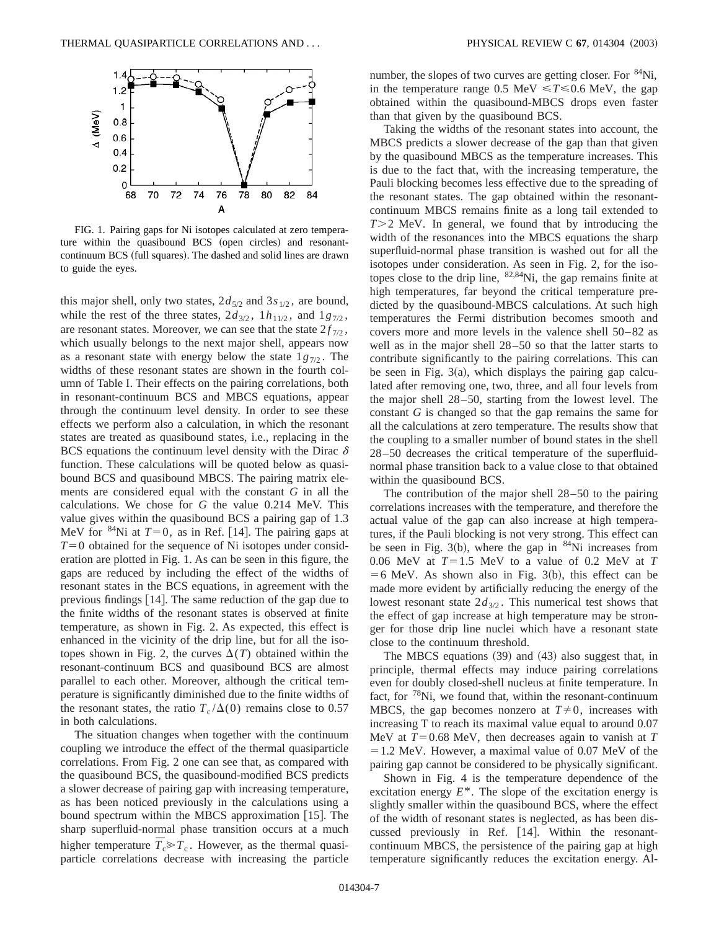

FIG. 1. Pairing gaps for Ni isotopes calculated at zero temperature within the quasibound BCS (open circles) and resonantcontinuum BCS (full squares). The dashed and solid lines are drawn to guide the eyes.

this major shell, only two states,  $2d_{5/2}$  and  $3s_{1/2}$ , are bound, while the rest of the three states,  $2d_{3/2}$ ,  $1h_{11/2}$ , and  $1g_{7/2}$ , are resonant states. Moreover, we can see that the state  $2f_{7/2}$ , which usually belongs to the next major shell, appears now as a resonant state with energy below the state  $1g_{7/2}$ . The widths of these resonant states are shown in the fourth column of Table I. Their effects on the pairing correlations, both in resonant-continuum BCS and MBCS equations, appear through the continuum level density. In order to see these effects we perform also a calculation, in which the resonant states are treated as quasibound states, i.e., replacing in the BCS equations the continuum level density with the Dirac  $\delta$ function. These calculations will be quoted below as quasibound BCS and quasibound MBCS. The pairing matrix elements are considered equal with the constant *G* in all the calculations. We chose for *G* the value 0.214 MeV. This value gives within the quasibound BCS a pairing gap of 1.3 MeV for <sup>84</sup>Ni at  $T=0$ , as in Ref. [14]. The pairing gaps at  $T=0$  obtained for the sequence of Ni isotopes under consideration are plotted in Fig. 1. As can be seen in this figure, the gaps are reduced by including the effect of the widths of resonant states in the BCS equations, in agreement with the previous findings  $[14]$ . The same reduction of the gap due to the finite widths of the resonant states is observed at finite temperature, as shown in Fig. 2. As expected, this effect is enhanced in the vicinity of the drip line, but for all the isotopes shown in Fig. 2, the curves  $\Delta(T)$  obtained within the resonant-continuum BCS and quasibound BCS are almost parallel to each other. Moreover, although the critical temperature is significantly diminished due to the finite widths of the resonant states, the ratio  $T_c/\Delta(0)$  remains close to 0.57 in both calculations.

The situation changes when together with the continuum coupling we introduce the effect of the thermal quasiparticle correlations. From Fig. 2 one can see that, as compared with the quasibound BCS, the quasibound-modified BCS predicts a slower decrease of pairing gap with increasing temperature, as has been noticed previously in the calculations using a bound spectrum within the MBCS approximation  $[15]$ . The sharp superfluid-normal phase transition occurs at a much higher temperature  $\overline{T}_c \gg T_c$ . However, as the thermal quasiparticle correlations decrease with increasing the particle number, the slopes of two curves are getting closer. For  $84\text{Ni}$ , in the temperature range 0.5 MeV  $\leq T \leq 0.6$  MeV, the gap obtained within the quasibound-MBCS drops even faster than that given by the quasibound BCS.

Taking the widths of the resonant states into account, the MBCS predicts a slower decrease of the gap than that given by the quasibound MBCS as the temperature increases. This is due to the fact that, with the increasing temperature, the Pauli blocking becomes less effective due to the spreading of the resonant states. The gap obtained within the resonantcontinuum MBCS remains finite as a long tail extended to *T*>2 MeV. In general, we found that by introducing the width of the resonances into the MBCS equations the sharp superfluid-normal phase transition is washed out for all the isotopes under consideration. As seen in Fig. 2, for the isotopes close to the drip line,  $82,84$ Ni, the gap remains finite at high temperatures, far beyond the critical temperature predicted by the quasibound-MBCS calculations. At such high temperatures the Fermi distribution becomes smooth and covers more and more levels in the valence shell 50–82 as well as in the major shell 28–50 so that the latter starts to contribute significantly to the pairing correlations. This can be seen in Fig.  $3(a)$ , which displays the pairing gap calculated after removing one, two, three, and all four levels from the major shell 28–50, starting from the lowest level. The constant *G* is changed so that the gap remains the same for all the calculations at zero temperature. The results show that the coupling to a smaller number of bound states in the shell 28–50 decreases the critical temperature of the superfluidnormal phase transition back to a value close to that obtained within the quasibound BCS.

The contribution of the major shell 28–50 to the pairing correlations increases with the temperature, and therefore the actual value of the gap can also increase at high temperatures, if the Pauli blocking is not very strong. This effect can be seen in Fig. 3(b), where the gap in  $84Ni$  increases from 0.06 MeV at  $T=1.5$  MeV to a value of 0.2 MeV at  $T$  $=6$  MeV. As shown also in Fig. 3(b), this effect can be made more evident by artificially reducing the energy of the lowest resonant state  $2d_{3/2}$ . This numerical test shows that the effect of gap increase at high temperature may be stronger for those drip line nuclei which have a resonant state close to the continuum threshold.

The MBCS equations  $(39)$  and  $(43)$  also suggest that, in principle, thermal effects may induce pairing correlations even for doubly closed-shell nucleus at finite temperature. In fact, for  $78$ Ni, we found that, within the resonant-continuum MBCS, the gap becomes nonzero at  $T\neq 0$ , increases with increasing T to reach its maximal value equal to around 0.07 MeV at  $T=0.68$  MeV, then decreases again to vanish at  $T$  $=1.2$  MeV. However, a maximal value of 0.07 MeV of the pairing gap cannot be considered to be physically significant.

Shown in Fig. 4 is the temperature dependence of the excitation energy *E*\*. The slope of the excitation energy is slightly smaller within the quasibound BCS, where the effect of the width of resonant states is neglected, as has been discussed previously in Ref. [14]. Within the resonantcontinuum MBCS, the persistence of the pairing gap at high temperature significantly reduces the excitation energy. Al-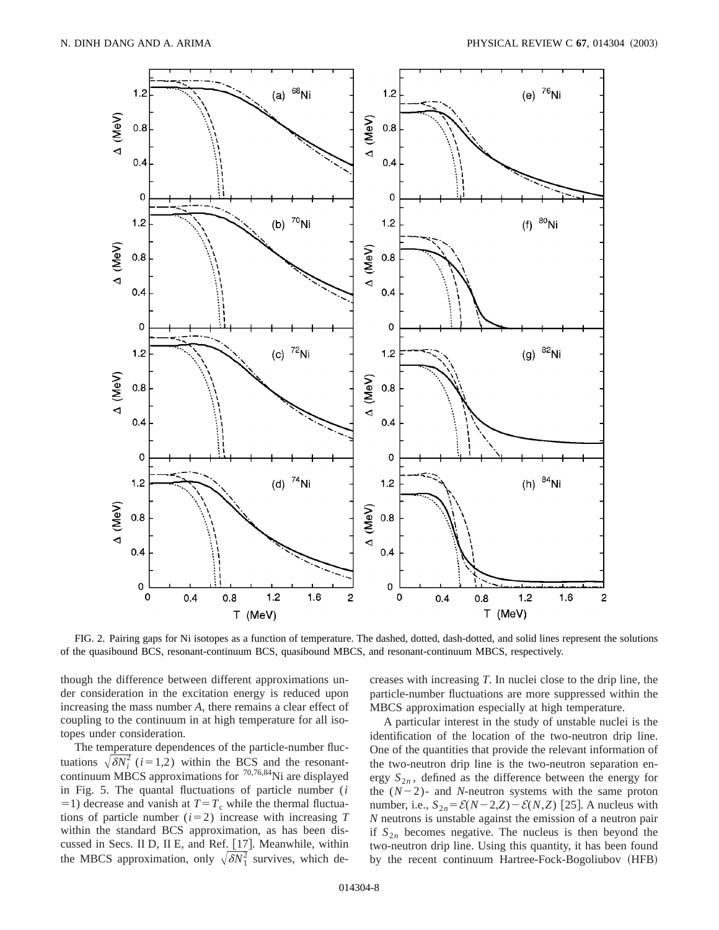

FIG. 2. Pairing gaps for Ni isotopes as a function of temperature. The dashed, dotted, dash-dotted, and solid lines represent the solutions of the quasibound BCS, resonant-continuum BCS, quasibound MBCS, and resonant-continuum MBCS, respectively.

though the difference between different approximations under consideration in the excitation energy is reduced upon increasing the mass number *A*, there remains a clear effect of coupling to the continuum in at high temperature for all isotopes under consideration.

The temperature dependences of the particle-number fluctuations  $\sqrt{\delta N_i^2}$  (*i*=1,2) within the BCS and the resonantcontinuum MBCS approximations for  $70,76,84$ Ni are displayed in Fig. 5. The quantal fluctuations of particle number (*i*  $=$ 1) decrease and vanish at  $T = T_c$  while the thermal fluctuations of particle number  $(i=2)$  increase with increasing *T* within the standard BCS approximation, as has been discussed in Secs. II D, II E, and Ref. [17]. Meanwhile, within the MBCS approximation, only  $\sqrt{\delta N_1^2}$  survives, which decreases with increasing *T*. In nuclei close to the drip line, the particle-number fluctuations are more suppressed within the MBCS approximation especially at high temperature.

A particular interest in the study of unstable nuclei is the identification of the location of the two-neutron drip line. One of the quantities that provide the relevant information of the two-neutron drip line is the two-neutron separation energy  $S_{2n}$ , defined as the difference between the energy for the  $(N-2)$ - and *N*-neutron systems with the same proton number, i.e.,  $S_{2n} = \mathcal{E}(N-2,Z) - \mathcal{E}(N,Z)$  [25]. A nucleus with *N* neutrons is unstable against the emission of a neutron pair if  $S_{2n}$  becomes negative. The nucleus is then beyond the two-neutron drip line. Using this quantity, it has been found by the recent continuum Hartree-Fock-Bogoliubov (HFB)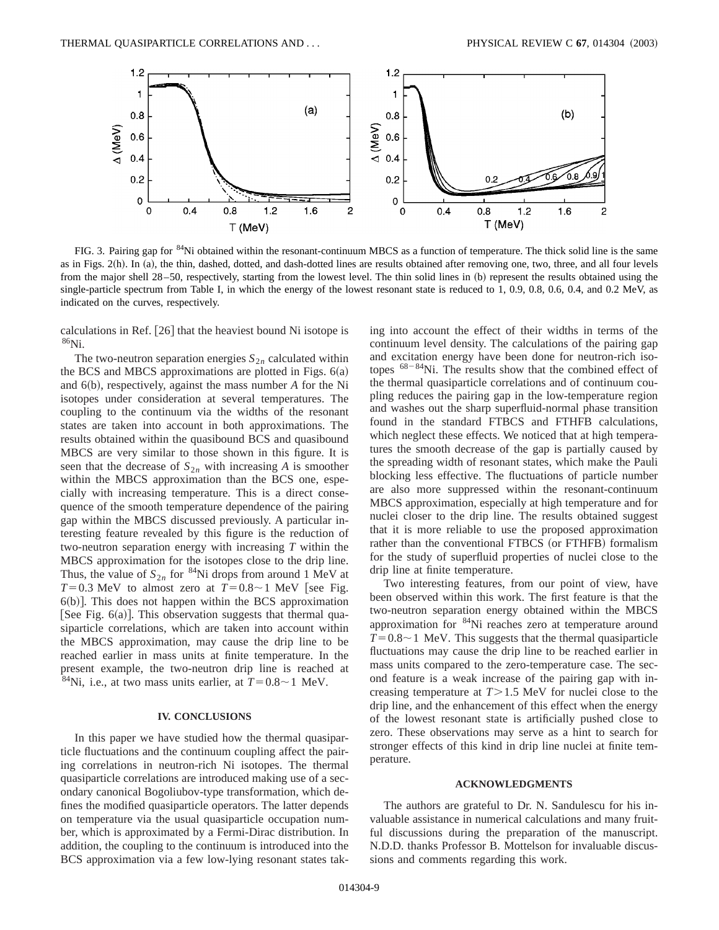

FIG. 3. Pairing gap for <sup>84</sup>Ni obtained within the resonant-continuum MBCS as a function of temperature. The thick solid line is the same as in Figs. 2(h). In (a), the thin, dashed, dotted, and dash-dotted lines are results obtained after removing one, two, three, and all four levels from the major shell 28-50, respectively, starting from the lowest level. The thin solid lines in (b) represent the results obtained using the single-particle spectrum from Table I, in which the energy of the lowest resonant state is reduced to 1, 0.9, 0.8, 0.6, 0.4, and 0.2 MeV, as indicated on the curves, respectively.

calculations in Ref.  $[26]$  that the heaviest bound Ni isotope is  $86$ Ni.

The two-neutron separation energies  $S_{2n}$  calculated within the BCS and MBCS approximations are plotted in Figs.  $6(a)$ and 6(b), respectively, against the mass number *A* for the Ni isotopes under consideration at several temperatures. The coupling to the continuum via the widths of the resonant states are taken into account in both approximations. The results obtained within the quasibound BCS and quasibound MBCS are very similar to those shown in this figure. It is seen that the decrease of  $S_{2n}$  with increasing *A* is smoother within the MBCS approximation than the BCS one, especially with increasing temperature. This is a direct consequence of the smooth temperature dependence of the pairing gap within the MBCS discussed previously. A particular interesting feature revealed by this figure is the reduction of two-neutron separation energy with increasing *T* within the MBCS approximation for the isotopes close to the drip line. Thus, the value of  $S_{2n}$  for <sup>84</sup>Ni drops from around 1 MeV at  $T=0.3$  MeV to almost zero at  $T=0.8\sim1$  MeV [see Fig.  $6(b)$ ]. This does not happen within the BCS approximation [See Fig.  $6(a)$ ]. This observation suggests that thermal quasiparticle correlations, which are taken into account within the MBCS approximation, may cause the drip line to be reached earlier in mass units at finite temperature. In the present example, the two-neutron drip line is reached at <sup>84</sup>Ni, i.e., at two mass units earlier, at  $T=0.8\sim1$  MeV.

### **IV. CONCLUSIONS**

In this paper we have studied how the thermal quasiparticle fluctuations and the continuum coupling affect the pairing correlations in neutron-rich Ni isotopes. The thermal quasiparticle correlations are introduced making use of a secondary canonical Bogoliubov-type transformation, which defines the modified quasiparticle operators. The latter depends on temperature via the usual quasiparticle occupation number, which is approximated by a Fermi-Dirac distribution. In addition, the coupling to the continuum is introduced into the BCS approximation via a few low-lying resonant states taking into account the effect of their widths in terms of the continuum level density. The calculations of the pairing gap and excitation energy have been done for neutron-rich isotopes  $68-84$ Ni. The results show that the combined effect of the thermal quasiparticle correlations and of continuum coupling reduces the pairing gap in the low-temperature region and washes out the sharp superfluid-normal phase transition found in the standard FTBCS and FTHFB calculations, which neglect these effects. We noticed that at high temperatures the smooth decrease of the gap is partially caused by the spreading width of resonant states, which make the Pauli blocking less effective. The fluctuations of particle number are also more suppressed within the resonant-continuum MBCS approximation, especially at high temperature and for nuclei closer to the drip line. The results obtained suggest that it is more reliable to use the proposed approximation rather than the conventional FTBCS (or FTHFB) formalism for the study of superfluid properties of nuclei close to the drip line at finite temperature.

Two interesting features, from our point of view, have been observed within this work. The first feature is that the two-neutron separation energy obtained within the MBCS approximation for 84Ni reaches zero at temperature around  $T=0.8\sim1$  MeV. This suggests that the thermal quasiparticle fluctuations may cause the drip line to be reached earlier in mass units compared to the zero-temperature case. The second feature is a weak increase of the pairing gap with increasing temperature at  $T > 1.5$  MeV for nuclei close to the drip line, and the enhancement of this effect when the energy of the lowest resonant state is artificially pushed close to zero. These observations may serve as a hint to search for stronger effects of this kind in drip line nuclei at finite temperature.

### **ACKNOWLEDGMENTS**

The authors are grateful to Dr. N. Sandulescu for his invaluable assistance in numerical calculations and many fruitful discussions during the preparation of the manuscript. N.D.D. thanks Professor B. Mottelson for invaluable discussions and comments regarding this work.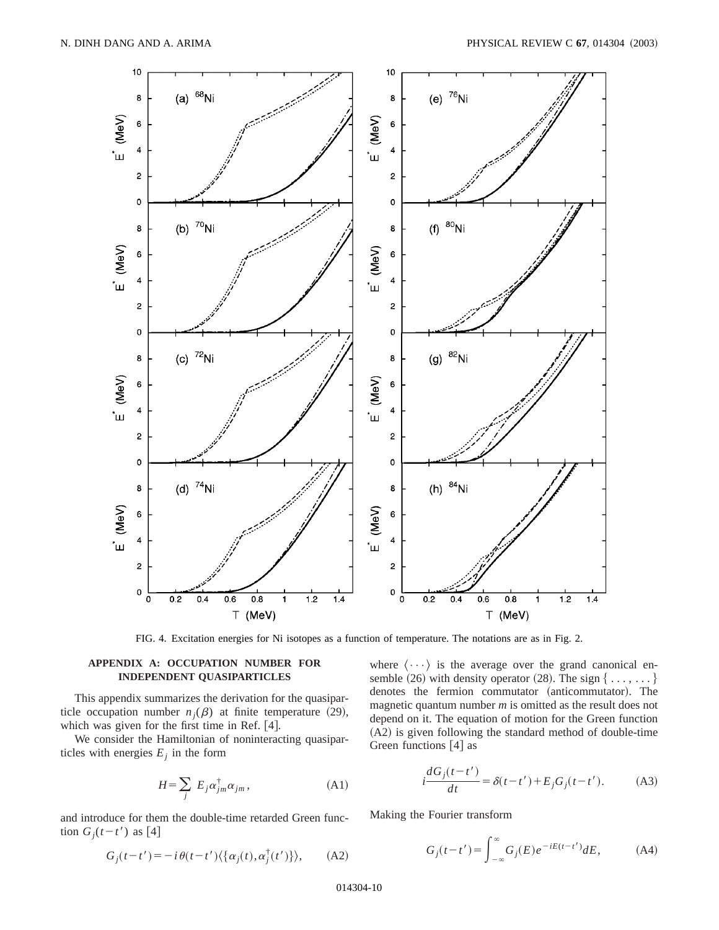

FIG. 4. Excitation energies for Ni isotopes as a function of temperature. The notations are as in Fig. 2.

# **APPENDIX A: OCCUPATION NUMBER FOR INDEPENDENT QUASIPARTICLES**

This appendix summarizes the derivation for the quasiparticle occupation number  $n_i(\beta)$  at finite temperature (29), which was given for the first time in Ref.  $[4]$ .

We consider the Hamiltonian of noninteracting quasiparticles with energies  $E_i$  in the form

$$
H = \sum_{j} E_{j} \alpha_{jm}^{\dagger} \alpha_{jm}, \qquad (A1)
$$

and introduce for them the double-time retarded Green function  $G_j(t-t')$  as [4]

$$
G_j(t-t') = -i \theta(t-t') \langle \{ \alpha_j(t), \alpha_j^{\dagger}(t') \} \rangle, \quad \text{(A2)}
$$

where  $\langle \cdots \rangle$  is the average over the grand canonical ensemble (26) with density operator (28). The sign  $\{ \ldots, \ldots \}$ denotes the fermion commutator (anticommutator). The magnetic quantum number *m* is omitted as the result does not depend on it. The equation of motion for the Green function  $(A2)$  is given following the standard method of double-time Green functions  $[4]$  as

$$
i\frac{dG_j(t-t')}{dt} = \delta(t-t') + E_j G_j(t-t').
$$
 (A3)

Making the Fourier transform

$$
G_j(t-t') = \int_{-\infty}^{\infty} G_j(E) e^{-iE(t-t')} dE,
$$
 (A4)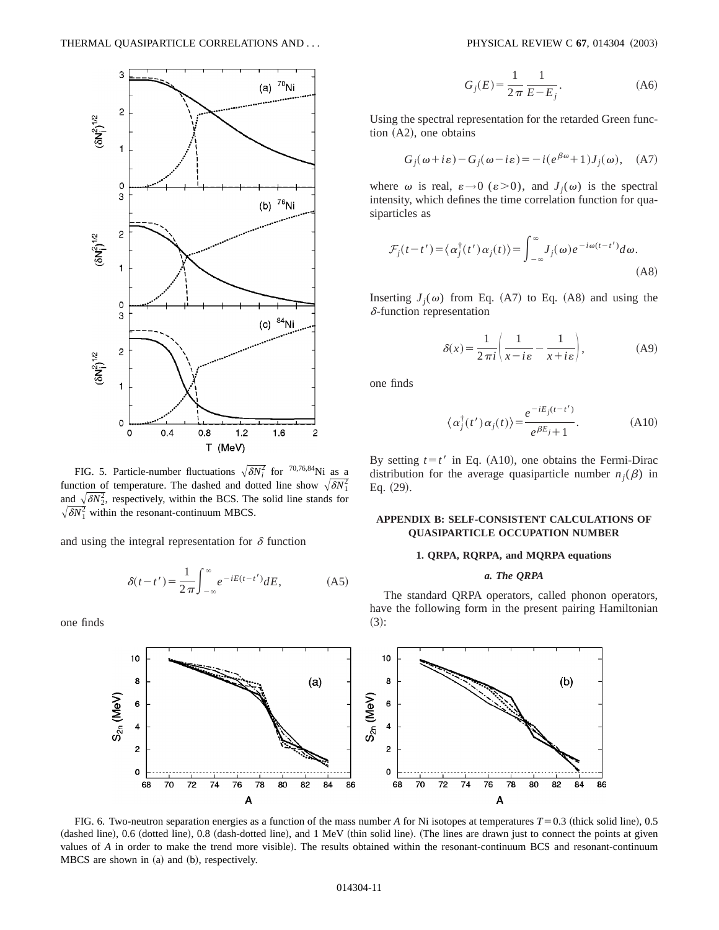

FIG. 5. Particle-number fluctuations  $\sqrt{\delta N_i^2}$  for <sup>70,76,84</sup>Ni as a function of temperature. The dashed and dotted line show  $\sqrt{\delta N_1^2}$ and  $\sqrt{\delta N_2^2}$ , respectively, within the BCS. The solid line stands for  $\sqrt{\delta N_1^2}$  within the resonant-continuum MBCS.

and using the integral representation for  $\delta$  function

$$
\delta(t - t') = \frac{1}{2\pi} \int_{-\infty}^{\infty} e^{-iE(t - t')} dE,
$$
 (A5)

one finds

$$
G_j(E) = \frac{1}{2\pi} \frac{1}{E - E_j}.
$$
 (A6)

Using the spectral representation for the retarded Green func- $~$ tion  $(A2)$ , one obtains

$$
G_j(\omega + i\varepsilon) - G_j(\omega - i\varepsilon) = -i(e^{\beta \omega} + 1)J_j(\omega), \quad (A7)
$$

where  $\omega$  is real,  $\varepsilon \rightarrow 0$  ( $\varepsilon > 0$ ), and  $J_i(\omega)$  is the spectral intensity, which defines the time correlation function for quasiparticles as

$$
\mathcal{F}_j(t-t') = \langle \alpha_j^{\dagger}(t') \alpha_j(t) \rangle = \int_{-\infty}^{\infty} J_j(\omega) e^{-i\omega(t-t')} d\omega.
$$
\n(A8)

Inserting  $J_i(\omega)$  from Eq. (A7) to Eq. (A8) and using the  $\delta$ -function representation

$$
\delta(x) = \frac{1}{2\pi i} \left( \frac{1}{x - i\varepsilon} - \frac{1}{x + i\varepsilon} \right),\tag{A9}
$$

one finds

$$
\langle \alpha_j^{\dagger}(t') \alpha_j(t) \rangle = \frac{e^{-iE_j(t-t')}}{e^{\beta E_j} + 1}.
$$
 (A10)

By setting  $t=t'$  in Eq. (A10), one obtains the Fermi-Dirac distribution for the average quasiparticle number  $n_i(\beta)$  in Eq.  $(29)$ .

### **APPENDIX B: SELF-CONSISTENT CALCULATIONS OF QUASIPARTICLE OCCUPATION NUMBER**

### **1. QRPA, RQRPA, and MQRPA equations**

# *a. The QRPA*

The standard QRPA operators, called phonon operators, have the following form in the present pairing Hamiltonian  $(3):$ 



FIG. 6. Two-neutron separation energies as a function of the mass number *A* for Ni isotopes at temperatures  $T=0.3$  (thick solid line), 0.5 (dashed line), 0.6 (dotted line), 0.8 (dash-dotted line), and 1 MeV (thin solid line). (The lines are drawn just to connect the points at given values of *A* in order to make the trend more visible). The results obtained within the resonant-continuum BCS and resonant-continuum  $MBCS$  are shown in  $(a)$  and  $(b)$ , respectively.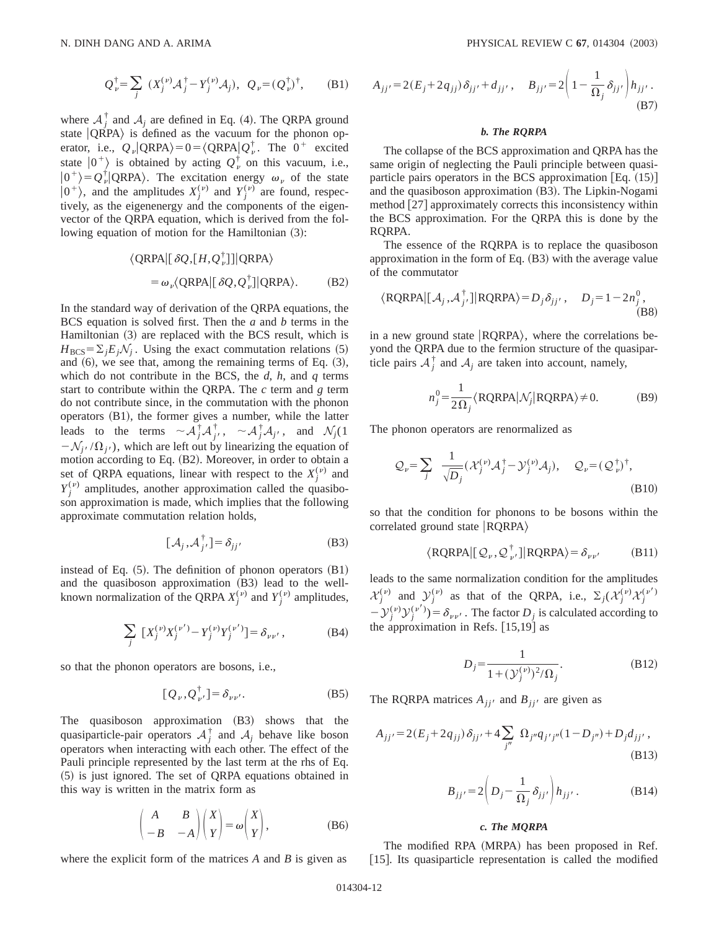where  $A_j^{\dagger}$  and  $A_j$  are defined in Eq. (4). The QRPA ground state  $|QRPA\rangle$  is defined as the vacuum for the phonon operator, i.e.,  $Q_{\nu} | QRPA \rangle = 0 = \langle QRPA | Q_{\nu}^{\dagger} \rangle$ . The  $0^+$  excited state  $|0^+\rangle$  is obtained by acting  $Q_{\nu}^{\dagger}$  on this vacuum, i.e.,  $|0^+\rangle = Q_{\nu}^{\dagger} |QRPA\rangle$ . The excitation energy  $\omega_{\nu}$  of the state  $|0^+\rangle$ , and the amplitudes  $X_j^{(\nu)}$  and  $Y_j^{(\nu)}$  are found, respectively, as the eigenenergy and the components of the eigenvector of the QRPA equation, which is derived from the following equation of motion for the Hamiltonian (3):

$$
\langle \text{QRPA} | [\delta \mathcal{Q}, [H, \mathcal{Q}_{\nu}^{\dagger}]] | \text{QRPA} \rangle
$$
  
=  $\omega_{\nu} \langle \text{QRPA} | [\delta \mathcal{Q}, \mathcal{Q}_{\nu}^{\dagger}]] | \text{QRPA} \rangle.$  (B2)

In the standard way of derivation of the QRPA equations, the BCS equation is solved first. Then the *a* and *b* terms in the Hamiltonian  $(3)$  are replaced with the BCS result, which is  $H_{BCS} = \sum_{i} E_i \mathcal{N}_i$ . Using the exact commutation relations (5) and  $(6)$ , we see that, among the remaining terms of Eq.  $(3)$ , which do not contribute in the BCS, the *d*, *h*, and *q* terms start to contribute within the QRPA. The *c* term and *g* term do not contribute since, in the commutation with the phonon operators  $(B1)$ , the former gives a number, while the latter leads to the terms  $\sim A_j^{\dagger} A_j^{\dagger}$ ,  $\sim A_j^{\dagger} A_{j'}$ , and  $\mathcal{N}_j(1)$  $-\mathcal{N}_{j'}(\Omega_{j'})$ , which are left out by linearizing the equation of motion according to Eq. (B2). Moreover, in order to obtain a set of QRPA equations, linear with respect to the  $X_j^{(\nu)}$  and  $Y_j^{(\nu)}$  amplitudes, another approximation called the quasiboson approximation is made, which implies that the following approximate commutation relation holds,

$$
[\mathcal{A}_j, \mathcal{A}_{j'}^{\dagger}] = \delta_{jj'} \tag{B3}
$$

instead of Eq.  $(5)$ . The definition of phonon operators  $(B1)$ and the quasiboson approximation  $(B3)$  lead to the wellknown normalization of the QRPA  $X_j^{(\nu)}$  and  $Y_j^{(\nu)}$  amplitudes,

$$
\sum_{j} [X_j^{(\nu)} X_j^{(\nu')} - Y_j^{(\nu)} Y_j^{(\nu')}] = \delta_{\nu\nu'}, \tag{B4}
$$

so that the phonon operators are bosons, i.e.,

$$
[Q_{\nu}, Q_{\nu'}^{\dagger}] = \delta_{\nu\nu'}.
$$
 (B5)

The quasiboson approximation (B3) shows that the quasiparticle-pair operators  $A_j^{\dagger}$  and  $A_j$  behave like boson operators when interacting with each other. The effect of the Pauli principle represented by the last term at the rhs of Eq.  $(5)$  is just ignored. The set of QRPA equations obtained in this way is written in the matrix form as

$$
\begin{pmatrix} A & B \\ -B & -A \end{pmatrix} \begin{pmatrix} X \\ Y \end{pmatrix} = \omega \begin{pmatrix} X \\ Y \end{pmatrix}, \tag{B6}
$$

where the explicit form of the matrices *A* and *B* is given as

$$
A_{jj'} = 2(E_j + 2q_{jj}) \delta_{jj'} + d_{jj'}, \quad B_{jj'} = 2\left(1 - \frac{1}{\Omega_j} \delta_{jj'}\right) h_{jj'}.
$$
\n(B7)

#### *b. The RQRPA*

The collapse of the BCS approximation and QRPA has the same origin of neglecting the Pauli principle between quasiparticle pairs operators in the BCS approximation  $[Eq. (15)]$ and the quasiboson approximation  $(B3)$ . The Lipkin-Nogami method  $[27]$  approximately corrects this inconsistency within the BCS approximation. For the QRPA this is done by the RQRPA.

The essence of the RQRPA is to replace the quasiboson approximation in the form of Eq.  $(B3)$  with the average value of the commutator

$$
\langle \text{RQRPA} | [\mathcal{A}_j, \mathcal{A}_j^{\dagger}] | \text{RQRPA} \rangle = D_j \delta_{jj'}, \quad D_j = 1 - 2n_j^0,
$$
\n(B8)

in a new ground state  $|RQRPA\rangle$ , where the correlations beyond the QRPA due to the fermion structure of the quasiparticle pairs  $A_j^{\dagger}$  and  $A_j$  are taken into account, namely,

$$
n_j^0 = \frac{1}{2\Omega_j} \langle \text{RQRPA} | \mathcal{N}_j | \text{RQRPA} \rangle \neq 0. \tag{B9}
$$

The phonon operators are renormalized as

$$
\mathcal{Q}_{\nu} = \sum_{j} \frac{1}{\sqrt{D_{j}}} (\mathcal{X}_{j}^{(\nu)} \mathcal{A}_{j}^{\dagger} - \mathcal{Y}_{j}^{(\nu)} \mathcal{A}_{j}), \quad \mathcal{Q}_{\nu} = (\mathcal{Q}_{\nu}^{\dagger})^{\dagger},
$$
\n(B10)

so that the condition for phonons to be bosons within the correlated ground state  $|RQRPA\rangle$ 

$$
\langle \text{RQRPA} | [\mathcal{Q}_{\nu}, \mathcal{Q}_{\nu'}^{\dagger}] | \text{RQRPA} \rangle = \delta_{\nu\nu'} \qquad (B11)
$$

leads to the same normalization condition for the amplitudes  $\mathcal{X}_j^{(v)}$  and  $\mathcal{Y}_j^{(v)}$  as that of the QRPA, i.e.,  $\Sigma_j(\mathcal{X}_j^{(v)}\mathcal{X}_j^{(v')}$  $-\mathcal{Y}_j^{(\nu)}\mathcal{Y}_j^{(\nu')}$ ) =  $\delta_{\nu\nu'}$ . The factor  $D_j$  is calculated according to the approximation in Refs.  $[15,19]$  as

$$
D_j = \frac{1}{1 + (\mathcal{Y}_j^{(\nu)})^2 / \Omega_j}.
$$
 (B12)

The RQRPA matrices  $A_{jj'}$  and  $B_{jj'}$  are given as

$$
A_{jj'} = 2(E_j + 2q_{jj}) \delta_{jj'} + 4 \sum_{j''} \Omega_{j''} q_{j'j''} (1 - D_{j''}) + D_j d_{jj'},
$$
\n(B13)

$$
B_{jj'} = 2\left(D_j - \frac{1}{\Omega_j} \delta_{jj'}\right) h_{jj'}.
$$
 (B14)

### *c. The MQRPA*

The modified RPA (MRPA) has been proposed in Ref. [15]. Its quasiparticle representation is called the modified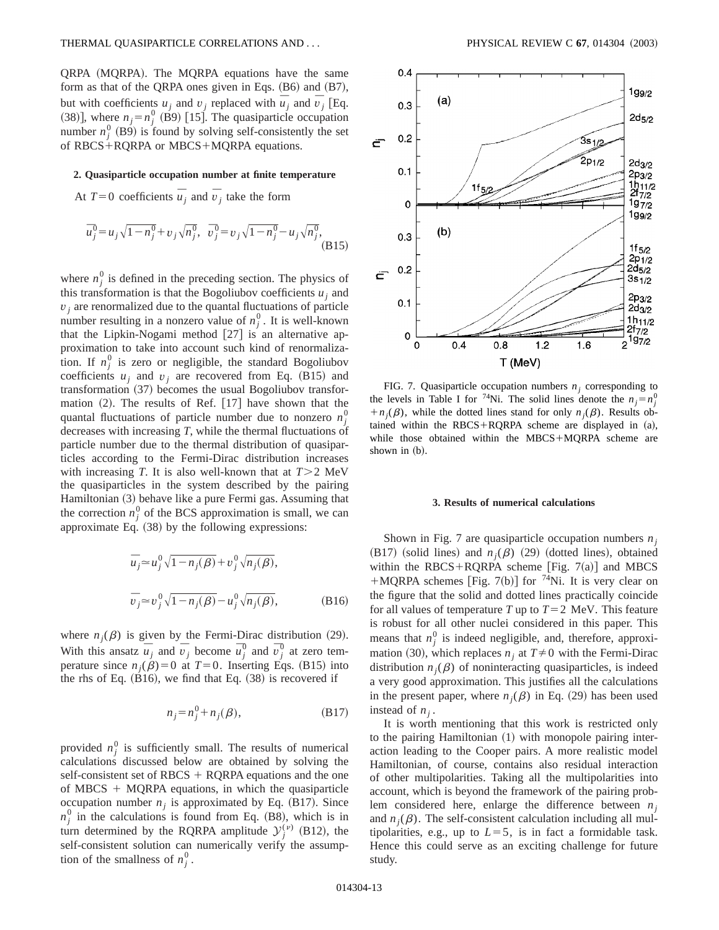QRPA (MQRPA). The MQRPA equations have the same form as that of the QRPA ones given in Eqs.  $(B6)$  and  $(B7)$ , but with coefficients  $u_j$  and  $v_j$  replaced with  $\overline{u}_j$  and  $\overline{v}_j$  [Eq. (38)], where  $n_j = n_j^0$  (B9) [15]. The quasiparticle occupation number  $n_j^0$  (B9) is found by solving self-consistently the set of  $RBCS+RQRPA$  or  $MBCS+MQRPA$  equations.

#### **2. Quasiparticle occupation number at finite temperature**

At  $T=0$  coefficients  $\overline{u}_j$  and  $\overline{v}_j$  take the form

$$
\overline{u}_j^0 = u_j \sqrt{1 - n_j^0} + v_j \sqrt{n_j^0}, \quad \overline{v}_j^0 = v_j \sqrt{1 - n_j^0} - u_j \sqrt{n_j^0},
$$
\n(B15)

where  $n_j^0$  is defined in the preceding section. The physics of this transformation is that the Bogoliubov coefficients  $u_i$  and  $v_i$  are renormalized due to the quantal fluctuations of particle number resulting in a nonzero value of  $n_j^0$ . It is well-known that the Lipkin-Nogami method  $[27]$  is an alternative approximation to take into account such kind of renormalization. If  $n_j^0$  is zero or negligible, the standard Bogoliubov coefficients  $u_j$  and  $v_j$  are recovered from Eq. (B15) and  $transformation (37)$  becomes the usual Bogoliubov transformation  $(2)$ . The results of Ref. [17] have shown that the quantal fluctuations of particle number due to nonzero  $n_j^0$ decreases with increasing *T*, while the thermal fluctuations of particle number due to the thermal distribution of quasiparticles according to the Fermi-Dirac distribution increases with increasing *T*. It is also well-known that at  $T > 2$  MeV the quasiparticles in the system described by the pairing Hamiltonian (3) behave like a pure Fermi gas. Assuming that the correction  $n_j^0$  of the BCS approximation is small, we can approximate Eq.  $(38)$  by the following expressions:

$$
\overline{u}_j \approx u_j^0 \sqrt{1 - n_j(\beta)} + v_j^0 \sqrt{n_j(\beta)},
$$
  
\n
$$
\overline{v}_j \approx v_j^0 \sqrt{1 - n_j(\beta)} - u_j^0 \sqrt{n_j(\beta)},
$$
 (B16)

where  $n_j(\beta)$  is given by the Fermi-Dirac distribution (29). With this ansatz  $\overline{u}_j$  and  $\overline{v}_j$  become  $\overline{u}_j^0$  and  $\overline{v}_j^0$  at zero temperature since  $n_j(\beta)=0$  at  $T=0$ . Inserting Eqs. (B15) into the rhs of Eq.  $(B16)$ , we find that Eq.  $(38)$  is recovered if

$$
n_j = n_j^0 + n_j(\beta),\tag{B17}
$$

provided  $n_j^0$  is sufficiently small. The results of numerical calculations discussed below are obtained by solving the self-consistent set of RBCS  $+$  RQRPA equations and the one of MBCS  $+$  MQRPA equations, in which the quasiparticle occupation number  $n_j$  is approximated by Eq.  $(B17)$ . Since  $n_j^0$  in the calculations is found from Eq. (B8), which is in turn determined by the RQRPA amplitude  $y_j^{(v)}$  (B12), the self-consistent solution can numerically verify the assumption of the smallness of  $n_j^0$ .



FIG. 7. Quasiparticle occupation numbers  $n_i$  corresponding to the levels in Table I for <sup>74</sup>Ni. The solid lines denote the  $n_j = n_j^0$  $+n_i(\beta)$ , while the dotted lines stand for only  $n_i(\beta)$ . Results obtained within the RBCS+RQRPA scheme are displayed in  $(a)$ , while those obtained within the MBCS+MQRPA scheme are shown in  $(b)$ .

### **3. Results of numerical calculations**

Shown in Fig. 7 are quasiparticle occupation numbers *n*<sub>i</sub>  $(B17)$  (solid lines) and  $n_i(\beta)$  (29) (dotted lines), obtained within the RBCS+RQRPA scheme [Fig.  $7(a)$ ] and MBCS +MQRPA schemes [Fig. 7(b)] for <sup>74</sup>Ni. It is very clear on the figure that the solid and dotted lines practically coincide for all values of temperature *T* up to  $T=2$  MeV. This feature is robust for all other nuclei considered in this paper. This means that  $n_j^0$  is indeed negligible, and, therefore, approximation (30), which replaces  $n_i$  at  $T \neq 0$  with the Fermi-Dirac distribution  $n_j(\beta)$  of noninteracting quasiparticles, is indeed a very good approximation. This justifies all the calculations in the present paper, where  $n_i(\beta)$  in Eq. (29) has been used instead of  $n_i$ .

It is worth mentioning that this work is restricted only to the pairing Hamiltonian  $(1)$  with monopole pairing interaction leading to the Cooper pairs. A more realistic model Hamiltonian, of course, contains also residual interaction of other multipolarities. Taking all the multipolarities into account, which is beyond the framework of the pairing problem considered here, enlarge the difference between *nj* and  $n_j(\beta)$ . The self-consistent calculation including all multipolarities, e.g., up to  $L=5$ , is in fact a formidable task. Hence this could serve as an exciting challenge for future study.